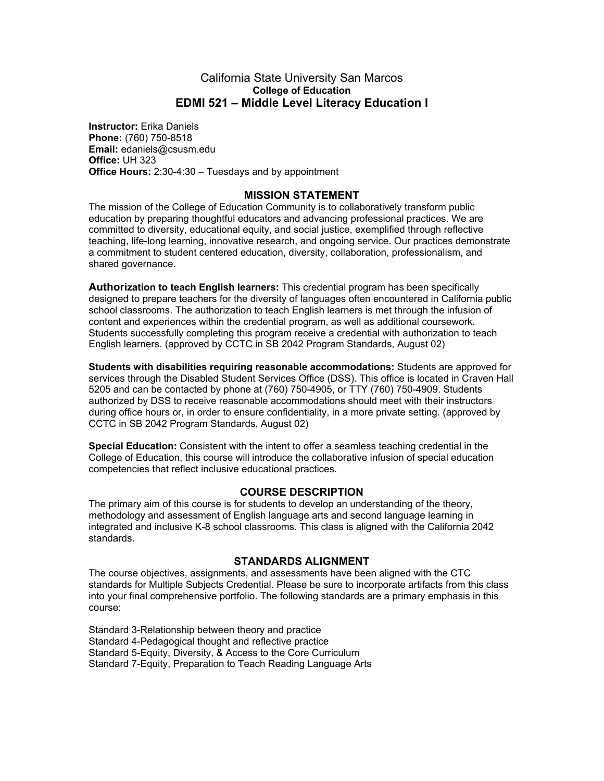#### California State University San Marcos **College of Education EDMI 521 – Middle Level Literacy Education I**

**Instructor:** Erika Daniels **Phone:** (760) 750-8518 **Email:** edaniels@csusm.edu **Office:** UH 323 **Office Hours:** 2:30-4:30 – Tuesdays and by appointment

### **MISSION STATEMENT**

The mission of the College of Education Community is to collaboratively transform public education by preparing thoughtful educators and advancing professional practices. We are committed to diversity, educational equity, and social justice, exemplified through reflective teaching, life-long learning, innovative research, and ongoing service. Our practices demonstrate a commitment to student centered education, diversity, collaboration, professionalism, and shared governance.

**Authorization to teach English learners:** This credential program has been specifically designed to prepare teachers for the diversity of languages often encountered in California public school classrooms. The authorization to teach English learners is met through the infusion of content and experiences within the credential program, as well as additional coursework. Students successfully completing this program receive a credential with authorization to teach English learners. (approved by CCTC in SB 2042 Program Standards, August 02)

**Students with disabilities requiring reasonable accommodations:** Students are approved for services through the Disabled Student Services Office (DSS). This office is located in Craven Hall 5205 and can be contacted by phone at (760) 750-4905, or TTY (760) 750-4909. Students authorized by DSS to receive reasonable accommodations should meet with their instructors during office hours or, in order to ensure confidentiality, in a more private setting. (approved by CCTC in SB 2042 Program Standards, August 02)

**Special Education:** Consistent with the intent to offer a seamless teaching credential in the College of Education, this course will introduce the collaborative infusion of special education competencies that reflect inclusive educational practices.

#### **COURSE DESCRIPTION**

The primary aim of this course is for students to develop an understanding of the theory, methodology and assessment of English language arts and second language learning in integrated and inclusive K-8 school classrooms. This class is aligned with the California 2042 standards.

#### **STANDARDS ALIGNMENT**

The course objectives, assignments, and assessments have been aligned with the CTC standards for Multiple Subjects Credential. Please be sure to incorporate artifacts from this class into your final comprehensive portfolio. The following standards are a primary emphasis in this course:

Standard 3-Relationship between theory and practice Standard 4-Pedagogical thought and reflective practice Standard 5-Equity, Diversity, & Access to the Core Curriculum Standard 7-Equity, Preparation to Teach Reading Language Arts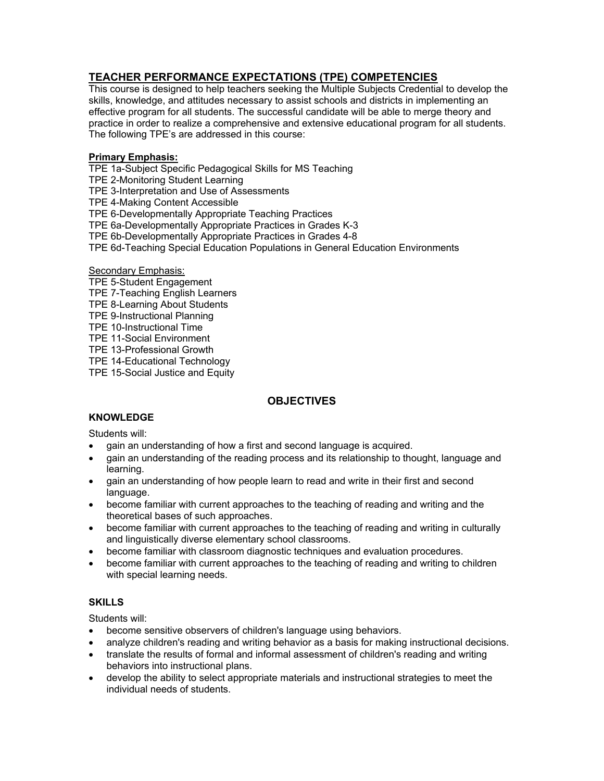# **TEACHER PERFORMANCE EXPECTATIONS (TPE) COMPETENCIES**

This course is designed to help teachers seeking the Multiple Subjects Credential to develop the skills, knowledge, and attitudes necessary to assist schools and districts in implementing an effective program for all students. The successful candidate will be able to merge theory and practice in order to realize a comprehensive and extensive educational program for all students. The following TPE's are addressed in this course:

#### **Primary Emphasis:**

TPE 1a-Subject Specific Pedagogical Skills for MS Teaching

TPE 2-Monitoring Student Learning

TPE 3-Interpretation and Use of Assessments

TPE 4-Making Content Accessible

TPE 6-Developmentally Appropriate Teaching Practices

TPE 6a-Developmentally Appropriate Practices in Grades K-3

TPE 6b-Developmentally Appropriate Practices in Grades 4-8

TPE 6d-Teaching Special Education Populations in General Education Environments

#### Secondary Emphasis:

- TPE 5-Student Engagement
- TPE 7-Teaching English Learners
- TPE 8-Learning About Students
- TPE 9-Instructional Planning
- TPE 10-Instructional Time
- TPE 11-Social Environment
- TPE 13-Professional Growth

TPE 14-Educational Technology

TPE 15-Social Justice and Equity

# **OBJECTIVES**

# **KNOWLEDGE**

Students will:

- gain an understanding of how a first and second language is acquired.
- gain an understanding of the reading process and its relationship to thought, language and learning.
- gain an understanding of how people learn to read and write in their first and second language.
- become familiar with current approaches to the teaching of reading and writing and the theoretical bases of such approaches.
- become familiar with current approaches to the teaching of reading and writing in culturally and linguistically diverse elementary school classrooms.
- become familiar with classroom diagnostic techniques and evaluation procedures.
- become familiar with current approaches to the teaching of reading and writing to children with special learning needs.

#### **SKILLS**

Students will:

- become sensitive observers of children's language using behaviors.
- analyze children's reading and writing behavior as a basis for making instructional decisions.
- translate the results of formal and informal assessment of children's reading and writing behaviors into instructional plans.
- develop the ability to select appropriate materials and instructional strategies to meet the individual needs of students.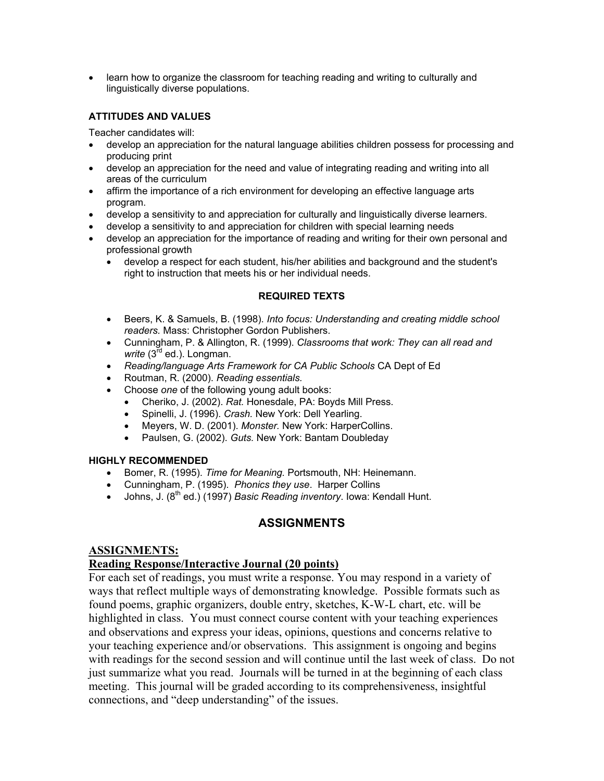• learn how to organize the classroom for teaching reading and writing to culturally and linguistically diverse populations.

### **ATTITUDES AND VALUES**

Teacher candidates will:

- develop an appreciation for the natural language abilities children possess for processing and producing print
- develop an appreciation for the need and value of integrating reading and writing into all areas of the curriculum
- affirm the importance of a rich environment for developing an effective language arts program.
- develop a sensitivity to and appreciation for culturally and linguistically diverse learners.
- develop a sensitivity to and appreciation for children with special learning needs
- develop an appreciation for the importance of reading and writing for their own personal and professional growth
	- develop a respect for each student, his/her abilities and background and the student's right to instruction that meets his or her individual needs.

#### **REQUIRED TEXTS**

- Beers, K. & Samuels, B. (1998). *Into focus: Understanding and creating middle school readers.* Mass: Christopher Gordon Publishers.
- Cunningham, P. & Allington, R. (1999). *Classrooms that work: They can all read and*  write (3<sup>rd</sup> ed.). Longman.
- *Reading/language Arts Framework for CA Public Schools* CA Dept of Ed
- Routman, R. (2000). *Reading essentials.*
- Choose *one* of the following young adult books:
	- Cheriko, J. (2002). *Rat.* Honesdale, PA: Boyds Mill Press.
	- Spinelli, J. (1996). *Crash.* New York: Dell Yearling.
	- Meyers, W. D. (2001). *Monster.* New York: HarperCollins.
	- Paulsen, G. (2002). *Guts.* New York: Bantam Doubleday

#### **HIGHLY RECOMMENDED**

- Bomer, R. (1995). *Time for Meaning.* Portsmouth, NH: Heinemann.
- Cunningham, P. (1995). *Phonics they use*. Harper Collins
- Johns, J. (8<sup>th</sup> ed.) (1997) *Basic Reading inventory*. Iowa: Kendall Hunt.

# **ASSIGNMENTS**

# **ASSIGNMENTS:**

#### **Reading Response/Interactive Journal (20 points)**

For each set of readings, you must write a response. You may respond in a variety of ways that reflect multiple ways of demonstrating knowledge. Possible formats such as found poems, graphic organizers, double entry, sketches, K-W-L chart, etc. will be highlighted in class. You must connect course content with your teaching experiences and observations and express your ideas, opinions, questions and concerns relative to your teaching experience and/or observations. This assignment is ongoing and begins with readings for the second session and will continue until the last week of class. Do not just summarize what you read. Journals will be turned in at the beginning of each class meeting. This journal will be graded according to its comprehensiveness, insightful connections, and "deep understanding" of the issues.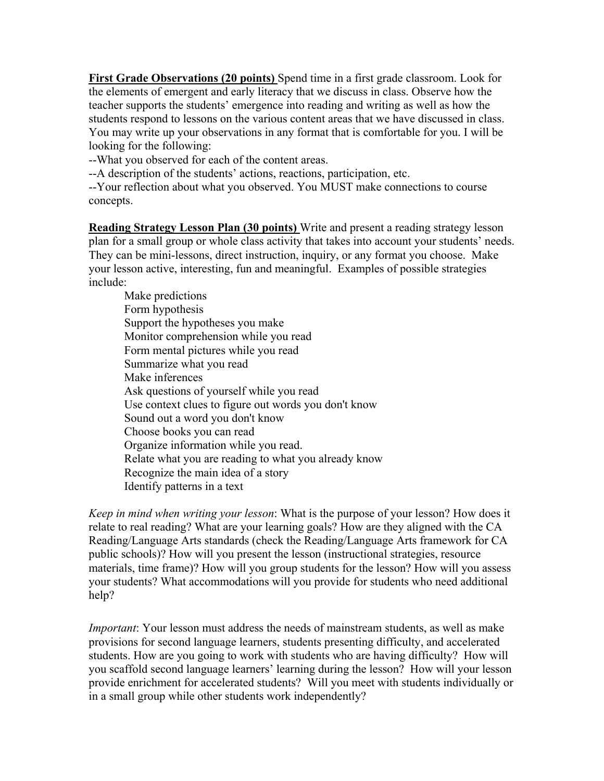**First Grade Observations (20 points)** Spend time in a first grade classroom. Look for the elements of emergent and early literacy that we discuss in class. Observe how the teacher supports the students' emergence into reading and writing as well as how the students respond to lessons on the various content areas that we have discussed in class. You may write up your observations in any format that is comfortable for you. I will be looking for the following:

--What you observed for each of the content areas.

--A description of the students' actions, reactions, participation, etc.

--Your reflection about what you observed. You MUST make connections to course concepts.

**Reading Strategy Lesson Plan (30 points)** Write and present a reading strategy lesson plan for a small group or whole class activity that takes into account your students' needs. They can be mini-lessons, direct instruction, inquiry, or any format you choose. Make your lesson active, interesting, fun and meaningful. Examples of possible strategies include:

Make predictions Form hypothesis Support the hypotheses you make Monitor comprehension while you read Form mental pictures while you read Summarize what you read Make inferences Ask questions of yourself while you read Use context clues to figure out words you don't know Sound out a word you don't know Choose books you can read Organize information while you read. Relate what you are reading to what you already know Recognize the main idea of a story Identify patterns in a text

*Keep in mind when writing your lesson*: What is the purpose of your lesson? How does it relate to real reading? What are your learning goals? How are they aligned with the CA Reading/Language Arts standards (check the Reading/Language Arts framework for CA public schools)? How will you present the lesson (instructional strategies, resource materials, time frame)? How will you group students for the lesson? How will you assess your students? What accommodations will you provide for students who need additional help?

*Important*: Your lesson must address the needs of mainstream students, as well as make provisions for second language learners, students presenting difficulty, and accelerated students. How are you going to work with students who are having difficulty? How will you scaffold second language learners' learning during the lesson? How will your lesson provide enrichment for accelerated students? Will you meet with students individually or in a small group while other students work independently?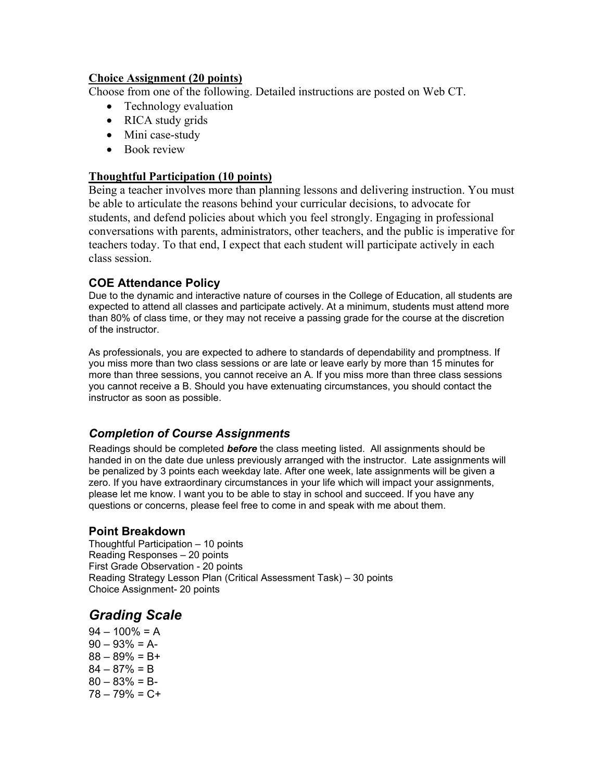# **Choice Assignment (20 points)**

Choose from one of the following. Detailed instructions are posted on Web CT.

- Technology evaluation
- RICA study grids
- Mini case-study
- Book review

# **Thoughtful Participation (10 points)**

Being a teacher involves more than planning lessons and delivering instruction. You must be able to articulate the reasons behind your curricular decisions, to advocate for students, and defend policies about which you feel strongly. Engaging in professional conversations with parents, administrators, other teachers, and the public is imperative for teachers today. To that end, I expect that each student will participate actively in each class session.

# **COE Attendance Policy**

Due to the dynamic and interactive nature of courses in the College of Education, all students are expected to attend all classes and participate actively. At a minimum, students must attend more than 80% of class time, or they may not receive a passing grade for the course at the discretion of the instructor.

As professionals, you are expected to adhere to standards of dependability and promptness. If you miss more than two class sessions or are late or leave early by more than 15 minutes for more than three sessions, you cannot receive an A. If you miss more than three class sessions you cannot receive a B. Should you have extenuating circumstances, you should contact the instructor as soon as possible.

# *Completion of Course Assignments*

Readings should be completed *before* the class meeting listed. All assignments should be handed in on the date due unless previously arranged with the instructor. Late assignments will be penalized by 3 points each weekday late. After one week, late assignments will be given a zero. If you have extraordinary circumstances in your life which will impact your assignments, please let me know. I want you to be able to stay in school and succeed. If you have any questions or concerns, please feel free to come in and speak with me about them.

# **Point Breakdown**

Thoughtful Participation – 10 points Reading Responses – 20 points First Grade Observation - 20 points Reading Strategy Lesson Plan (Critical Assessment Task) – 30 points Choice Assignment- 20 points

# *Grading Scale*

 $94 - 100\% = A$  $90 - 93\% = A$  $88 - 89\% = B +$  $84 - 87\% = B$  $80 - 83\% = B$  $78 - 79\% = C +$